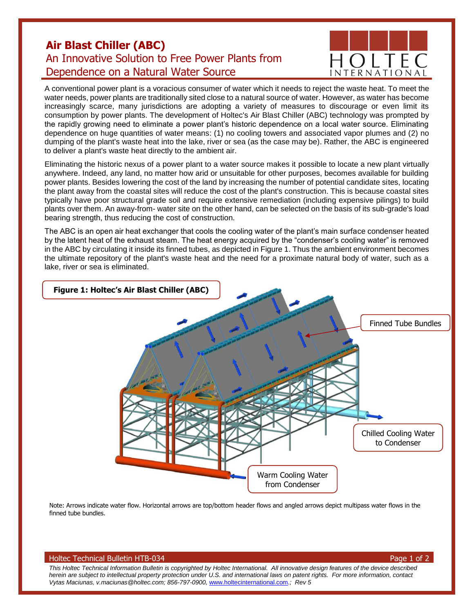## **Air Blast Chiller (ABC)** An Innovative Solution to Free Power Plants from Dependence on a Natural Water Source



A conventional power plant is a voracious consumer of water which it needs to reject the waste heat. To meet the water needs, power plants are traditionally sited close to a natural source of water. However, as water has become increasingly scarce, many jurisdictions are adopting a variety of measures to discourage or even limit its consumption by power plants. The development of Holtec's Air Blast Chiller (ABC) technology was prompted by the rapidly growing need to eliminate a power plant's historic dependence on a local water source. Eliminating dependence on huge quantities of water means: (1) no cooling towers and associated vapor plumes and (2) no dumping of the plant's waste heat into the lake, river or sea (as the case may be). Rather, the ABC is engineered to deliver a plant's waste heat directly to the ambient air.

Eliminating the historic nexus of a power plant to a water source makes it possible to locate a new plant virtually anywhere. Indeed, any land, no matter how arid or unsuitable for other purposes, becomes available for building power plants. Besides lowering the cost of the land by increasing the number of potential candidate sites, locating the plant away from the coastal sites will reduce the cost of the plant's construction. This is because coastal sites typically have poor structural grade soil and require extensive remediation (including expensive pilings) to build plants over them. An away-from- water site on the other hand, can be selected on the basis of its sub-grade's load bearing strength, thus reducing the cost of construction.

The ABC is an open air heat exchanger that cools the cooling water of the plant's main surface condenser heated by the latent heat of the exhaust steam. The heat energy acquired by the "condenser's cooling water" is removed in the ABC by circulating it inside its finned tubes, as depicted in Figure 1. Thus the ambient environment becomes the ultimate repository of the plant's waste heat and the need for a proximate natural body of water, such as a lake, river or sea is eliminated.



Note: Arrows indicate water flow. Horizontal arrows are top/bottom header flows and angled arrows depict multipass water flows in the finned tube bundles.

## Holtec Technical Bulletin HTB-034 Page 1 of 2

*This Holtec Technical Information Bulletin is copyrighted by Holtec International. All innovative design features of the device described herein are subject to intellectual property protection under U.S. and international laws on patent rights. For more information, contact Vytas Maciunas, v.maciunas@holtec.com; 856-797-0900,* [www.holtecinternational.com](http://www.holtecinternational.com/)*.; Rev 5*